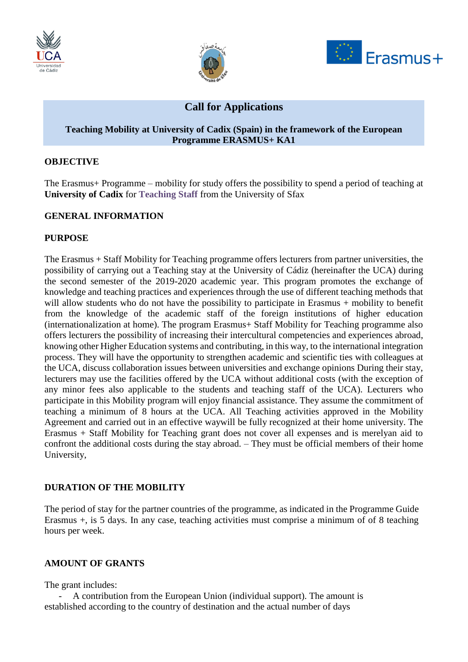





# **Call for Applications**

#### **Teaching Mobility at University of Cadix (Spain) in the framework of the European Programme ERASMUS+ KA1**

#### **OBJECTIVE**

The Erasmus+ Programme – mobility for study offers the possibility to spend a period of teaching at **University of Cadix** for **Teaching Staff** from the University of Sfax

#### **GENERAL INFORMATION**

#### **PURPOSE**

The Erasmus + Staff Mobility for Teaching programme offers lecturers from partner universities, the possibility of carrying out a Teaching stay at the University of Cádiz (hereinafter the UCA) during the second semester of the 2019-2020 academic year. This program promotes the exchange of knowledge and teaching practices and experiences through the use of different teaching methods that will allow students who do not have the possibility to participate in Erasmus + mobility to benefit from the knowledge of the academic staff of the foreign institutions of higher education (internationalization at home). The program Erasmus+ Staff Mobility for Teaching programme also offers lecturers the possibility of increasing their intercultural competencies and experiences abroad, knowing other Higher Education systems and contributing, in this way, to the international integration process. They will have the opportunity to strengthen academic and scientific ties with colleagues at the UCA, discuss collaboration issues between universities and exchange opinions During their stay, lecturers may use the facilities offered by the UCA without additional costs (with the exception of any minor fees also applicable to the students and teaching staff of the UCA). Lecturers who participate in this Mobility program will enjoy financial assistance. They assume the commitment of teaching a minimum of 8 hours at the UCA. All Teaching activities approved in the Mobility Agreement and carried out in an effective waywill be fully recognized at their home university. The Erasmus + Staff Mobility for Teaching grant does not cover all expenses and is merelyan aid to confront the additional costs during the stay abroad. – They must be official members of their home University,

### **DURATION OF THE MOBILITY**

The period of stay for the partner countries of the programme, as indicated in the Programme Guide Erasmus +, is 5 days. In any case, teaching activities must comprise a minimum of of 8 teaching hours per week.

### **AMOUNT OF GRANTS**

The grant includes:

- A contribution from the European Union (individual support). The amount is established according to the country of destination and the actual number of days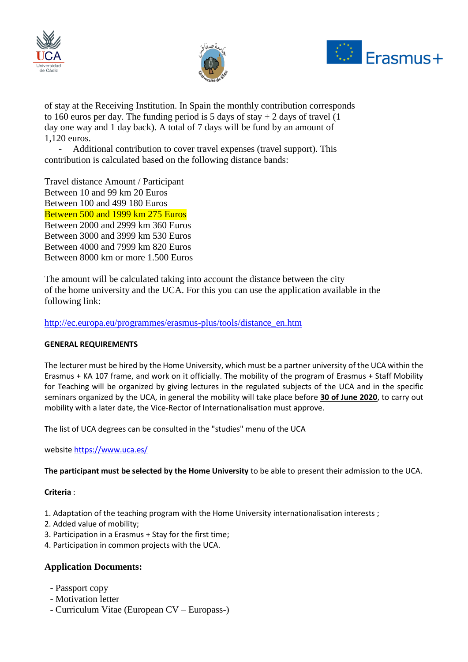





of stay at the Receiving Institution. In Spain the monthly contribution corresponds to 160 euros per day. The funding period is 5 days of stay  $+ 2$  days of travel (1) day one way and 1 day back). A total of 7 days will be fund by an amount of 1,120 euros.

Additional contribution to cover travel expenses (travel support). This contribution is calculated based on the following distance bands:

Travel distance Amount / Participant Between 10 and 99 km 20 Euros Between 100 and 499 180 Euros Between 500 and 1999 km 275 Euros Between 2000 and 2999 km 360 Euros Between 3000 and 3999 km 530 Euros Between 4000 and 7999 km 820 Euros Between 8000 km or more 1.500 Euros

The amount will be calculated taking into account the distance between the city of the home university and the UCA. For this you can use the application available in the following link:

[http://ec.europa.eu/programmes/erasmus-plus/tools/distance\\_en.htm](http://ec.europa.eu/programmes/erasmus-plus/tools/distance_en.htm)

### **GENERAL REQUIREMENTS**

The lecturer must be hired by the Home University, which must be a partner university of the UCA within the Erasmus + KA 107 frame, and work on it officially. The mobility of the program of Erasmus + Staff Mobility for Teaching will be organized by giving lectures in the regulated subjects of the UCA and in the specific seminars organized by the UCA, in general the mobility will take place before **30 of June 2020**, to carry out mobility with a later date, the Vice-Rector of Internationalisation must approve.

The list of UCA degrees can be consulted in the "studies" menu of the UCA

website<https://www.uca.es/>

**The participant must be selected by the Home University** to be able to present their admission to the UCA.

### **Criteria** :

- 1. Adaptation of the teaching program with the Home University internationalisation interests ;
- 2. Added value of mobility;
- 3. Participation in a Erasmus + Stay for the first time;
- 4. Participation in common projects with the UCA.

## **Application Documents:**

- Passport copy
- Motivation letter
- Curriculum Vitae (European CV Europass-)